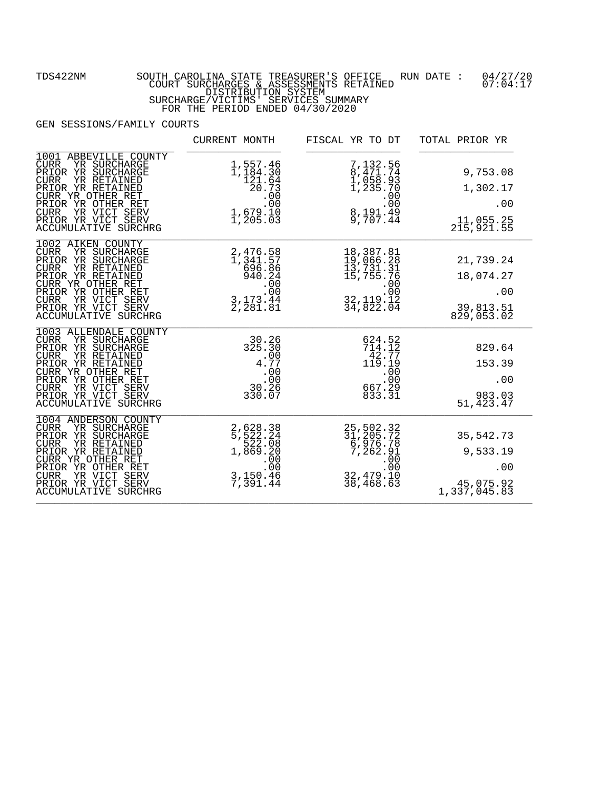|                                                                                                                                                                                                                                                             | CURRENT MONTH                                                                                           | FISCAL YR TO DT                                                                                                              | TOTAL PRIOR YR                                            |
|-------------------------------------------------------------------------------------------------------------------------------------------------------------------------------------------------------------------------------------------------------------|---------------------------------------------------------------------------------------------------------|------------------------------------------------------------------------------------------------------------------------------|-----------------------------------------------------------|
| ABBEVILLE COUNTY<br>1001<br>YR SURCHARGE<br>CURR<br>PRIOR YR SURCHARGE<br>YR RETAINED<br><b>CURR</b><br>PRIOR YR RETAINED<br>CURR YR OTHER RET<br>PRIOR YR OTHER RET<br>YR VICT SERV<br><b>CURR</b><br>PRIOR YR VICT SERV<br><b>ACCUMULATIVE SURCHRG</b>    | 1,557.46<br>1,184.30<br>$1, 121.64$<br>$20.73$<br>$00$<br>$1, 679.10$<br>$1, 205.03$                    | 7,132.56<br>8,471.74<br>1,058.93<br>1,235.70<br>$\begin{array}{r} 1,233 \ .000 \\ .000 \\ .00 \\ .09 \\ .707.44 \end{array}$ | 9,753.08<br>1,302.17<br>.00<br>11,055.25<br>215,921.55    |
| 1002 AIKEN COUNTY<br>YR SURCHARGE<br><b>CURR</b><br>PRIOR YR SURCHARGE<br><b>CURR</b><br>YR RETAINED<br>PRIOR YR RETAINED<br>CURR YR OTHER RET<br>PRIOR YR OTHER RET<br><b>CURR</b><br>YR VICT SERV<br>PRIOR YR VICT SERV<br><b>ACCUMULATIVE SURCHRG</b>    | 2,476.58<br>1,341.57<br>696.86<br>940.24<br>.00<br>.00<br>$\frac{3}{2}, \frac{173}{281}. \frac{44}{81}$ | 18,387.81<br>19,066.28<br>13,731.31<br>15,755.76<br>.00.00<br>32, 119. 12<br>34, 822. 04                                     | 21,739.24<br>18,074.27<br>.00<br>39,813.51<br>829,053.02  |
| 1003 ALLENDALE COUNTY<br>CURR<br>YR SURCHARGE<br>PRIOR YR SURCHARGE<br><b>CURR</b><br>YR RETAINED<br>PRIOR YR RETAINED<br>CURR YR OTHER RET<br>PRIOR YR OTHER RET<br>YR VICT SERV<br><b>CURR</b><br>PRIOR YR VICT SERV<br><b>ACCUMULATIVE SURCHRG</b>       | 30.26<br>325.30<br>4.77<br>.00<br>ةة:<br>30.26<br>330.07                                                | 624.52<br>714.12<br>42.77<br>119.19<br>.00<br>$\begin{array}{r} .00 \\ 667.29 \\ 833.31 \end{array}$                         | 829.64<br>153.39<br>.00<br>983.03<br>51,423.47            |
| 1004 ANDERSON COUNTY<br><b>CURR</b><br>YR SURCHARGE<br>PRIOR YR SURCHARGE<br><b>CURR</b><br>YR RETAINED<br>PRIOR YR RETAINED<br>CURR YR OTHER RET<br>PRIOR YR OTHER RET<br>YR VICT SERV<br><b>CURR</b><br>PRIOR YR VICT SERV<br><b>ACCUMULATIVE SURCHRG</b> | 2,628.38<br>5,522.24<br>522.08<br>1,869.20<br>.00<br>00.<br>3,150.46<br>7,391.44                        | 25, 502.32<br>31, 205.72<br>6, 976.78<br>7, 262.91<br>00.5<br>32,479.10<br>38,468.63                                         | 35,542.73<br>9,533.19<br>.00<br>45,075.92<br>1,337,045.83 |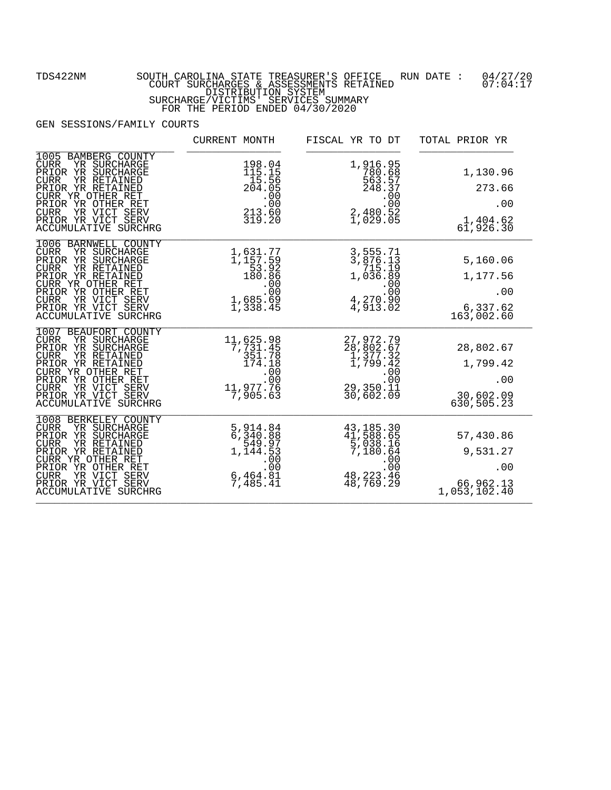## FOR THE PERIOD ENDED 04/30/2020

|                                                                                                                                                                                                                                                                | CURRENT MONTH                                                                                                  | FISCAL YR TO DT                                                                              | TOTAL PRIOR YR                                            |
|----------------------------------------------------------------------------------------------------------------------------------------------------------------------------------------------------------------------------------------------------------------|----------------------------------------------------------------------------------------------------------------|----------------------------------------------------------------------------------------------|-----------------------------------------------------------|
| 1005 BAMBERG COUNTY<br>YR SURCHARGE<br><b>CURR</b><br>PRIOR YR SURCHARGE<br><b>CURR</b><br>YR RETAINED<br>PRIOR YR RETAINED<br>CURR YR OTHER RET<br>PRIOR YR OTHER RET<br>YR VICT SERV<br><b>CURR</b><br>PRIOR YR VICT SERV<br>ACCUMULATIVE SURCHRG            | 198.04<br>115.15<br>15.56<br>204.05<br>$\begin{array}{r} 201.00 \\ .00 \\ .00 \\ 213.60 \\ 319.20 \end{array}$ | 1,916.95<br>780.68<br>563.57<br>248.37<br>$240.00$<br>00.<br>00.<br>2,480.52<br>1,029.05     | 1,130.96<br>273.66<br>.00<br>1,404.62<br>61,926.30        |
| 1006 BARNWELL COUNTY<br><b>CURR</b><br>YR SURCHARGE<br>PRIOR YR SURCHARGE<br>YR RETAINED<br><b>CURR</b><br>PRIOR YR RETAINED<br>CURR YR OTHER RET<br>PRIOR YR OTHER RET<br>YR VICT SERV<br><b>CURR</b><br>PRIOR YR VICT SERV<br>ACCUMULATIVE SURCHRG           | 1,631.77<br>1,157.59<br>$\frac{53.92}{180.86}$<br>$1000$<br>00.<br>00.<br>1,685.69.<br>1,338.45                | 3,555.71<br>3,876.13<br>715.19<br>$1,036.89$<br>00.00.<br>00.00.<br>$4,270.90$<br>$4,913.02$ | 5,160.06<br>1,177.56<br>.00<br>6,337.62<br>163,002.60     |
| 1007 BEAUFORT COUNTY<br>YR SURCHARGE<br>CURR.<br>PRIOR YR SURCHARGE<br>YR RETAINED<br><b>CURR</b><br>PRIOR YR RETAINED<br>CURR YR OTHER RET<br>PRIOR YR OTHER RET<br><b>CURR</b><br>YR VICT SERV<br>PRIOR YR VICT SERV<br><b>ACCUMULATIVE SURCHRG</b>          | 11,625.98<br>7,731.45<br>351.78<br>174.18<br>.00<br>.00 .<br>11,977.76<br>7,905.63                             | 27, 972. 79<br>28, 802. 67<br>1, 377. 32<br>1, 799. 42<br>.00.00<br>29,350.11<br>30,602.09   | 28,802.67<br>1,799.42<br>.00<br>30,602.09<br>630,505.23   |
| 1008<br>BERKELEY COUNTY<br><b>CURR</b><br>YR SURCHARGE<br>PRIOR YR SURCHARGE<br>YR RETAINED<br><b>CURR</b><br>PRIOR YR RETAINED<br>CURR YR OTHER RET<br>PRIOR YR OTHER RET<br>YR VICT SERV<br><b>CURR</b><br>PRIOR YR VICT SERV<br><b>ACCUMULATIVE SURCHRG</b> | 5, 914.84<br>6, 340.88<br>549.97<br>1, 144.53<br>$.00$<br>00.<br>$\frac{6}{7}$ , 464.81<br>7, 485.41           | 43,185.30<br>41,588.65<br>5,038.16<br>7,180.64<br>.ŏō<br>.ọo<br>48, 223. 46<br>48, 769. 29   | 57,430.86<br>9,531.27<br>.00<br>66,962.13<br>1,053,102.40 |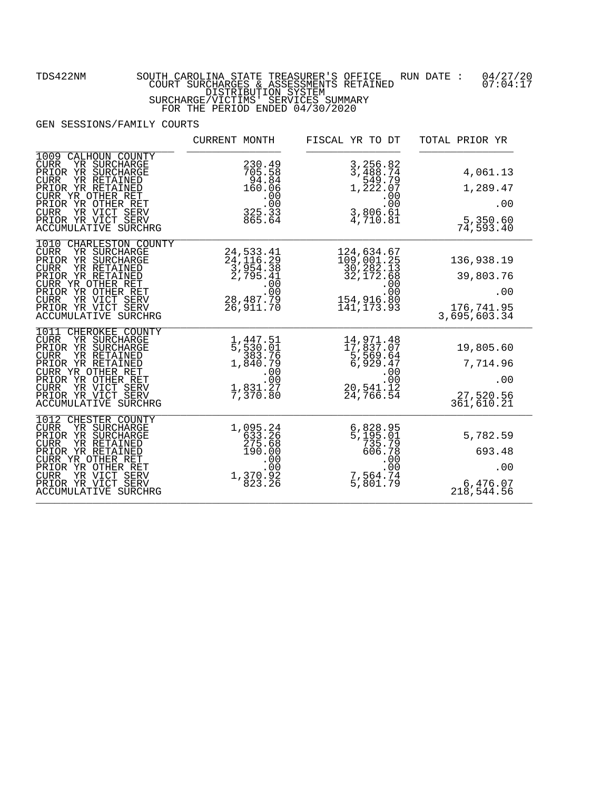FOR THE PERIOD ENDED 04/30/2020

|                                                                                                                                                                                                                                                               | CURRENT MONTH                                                                                                   | FISCAL YR TO DT                                                                                                            | TOTAL PRIOR YR                                                  |
|---------------------------------------------------------------------------------------------------------------------------------------------------------------------------------------------------------------------------------------------------------------|-----------------------------------------------------------------------------------------------------------------|----------------------------------------------------------------------------------------------------------------------------|-----------------------------------------------------------------|
| CALHOUN COUNTY<br>1009<br>YR SURCHARGE<br><b>CURR</b><br>PRIOR YR SURCHARGE<br><b>CURR</b><br>YR RETAINED<br>PRIOR YR RETAINED<br>CURR YR OTHER RET<br>PRIOR YR OTHER RET<br>YR VICT SERV<br><b>CURR</b><br>PRIOR YR VICT SERV<br>ACCUMULATIVE SURCHRG        | 230.49<br>705.58<br>94.84<br>160.06<br>$325.33$<br>865.64                                                       | 3, 256.82<br>3, 488.74<br>549.79<br>1, 222.07<br>$\frac{1}{3}, \frac{2}{2}, \frac{0}{2}, \frac{0}{2}$<br>4,710.81          | 4,061.13<br>1,289.47<br>.00<br>5,350.60<br>74,593.40            |
| 1010 CHARLESTON COUNTY<br><b>CURR</b><br>YR SURCHARGE<br>PRIOR YR SURCHARGE<br>YR RETAINED<br><b>CURR</b><br>PRIOR YR RETAINED<br>CURR YR OTHER RET<br>PRIOR YR OTHER RET<br>YR VICT SERV<br><b>CURR</b><br>PRIOR YR VICT SERV<br>ACCUMULATIVE SURCHRG        | 24, 533. 41<br>24, 116. 29<br>3, 954. 38<br>2, 795. 41<br>06 .<br>00 .<br>28 , 487 . 79 .<br>26 , 911 . 70      | 124,634.67<br>109,001.25<br>30,282.13<br>32,172.68<br>$154,916.80$<br>154, 916.80<br>141, 173.93                           | 136,938.19<br>39,803.76<br>.00<br>176, 741.95<br>3, 695, 603.34 |
| 1011 CHEROKEE COUNTY<br><b>CURR</b><br>YR SURCHARGE<br>PRIOR YR SURCHARGE<br><b>CURR</b><br>YR RETAINED<br>PRIOR YR RETAINED<br>CURR YR OTHER RET<br>PRIOR YR OTHER RET<br><b>CURR</b><br>YR VICT SERV<br>PRIOR YR VICT SERV<br><b>ACCUMULATIVE SURCHRG</b>   | 1,447.51<br>5,530.01<br>383.76<br>1,840.79<br>.00<br>$\begin{array}{r} .00 \\ 1,831.27 \\ 7,370.80 \end{array}$ | 14,971.48<br>17,837.07<br>5,569.64<br>6,929.47<br>$\begin{array}{r} .00 \\ .00 \\ .20 \\ .541.12 \end{array}$<br>24,766.54 | 19,805.60<br>7,714.96<br>.00<br>27,520.56<br>361,610.21         |
| 1012<br>CHESTER COUNTY<br>YR SURCHARGE<br><b>CURR</b><br>PRIOR YR SURCHARGE<br><b>CURR</b><br>YR RETAINED<br>PRIOR YR RETAINED<br>CURR YR OTHER RET<br>PRIOR YR OTHER RET<br>YR VICT SERV<br><b>CURR</b><br>PRIOR YR VICT SERV<br><b>ACCUMULATIVE SURCHRG</b> | 1,095.24<br>633.26<br>275.68<br>190.00<br>$.00$<br>.00<br>1,370.92<br>823.26                                    | $6,828.95$<br>$5,195.01$<br>735.79<br>606.78<br>$\begin{array}{r} .00 \\ .00 \\ .7 \\ .564 \\ .74 \end{array}$<br>5,801.79 | 5,782.59<br>693.48<br>.00<br>6,476.07<br>218,544.56             |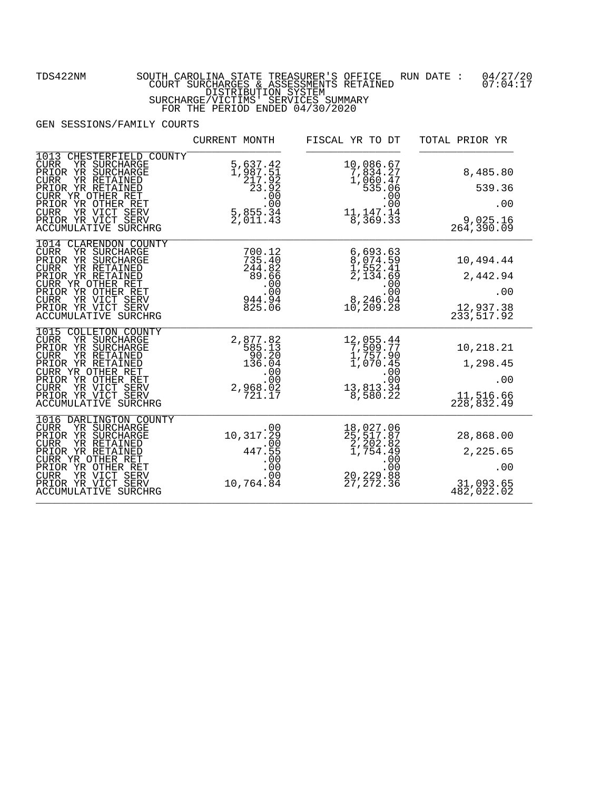|                                                                                                                                                                                                                                                              | CURRENT MONTH                                                                                                                                                                                                                                                                                                                                                                | FISCAL YR TO DT                                                                                                                                            | TOTAL PRIOR YR                                                       |
|--------------------------------------------------------------------------------------------------------------------------------------------------------------------------------------------------------------------------------------------------------------|------------------------------------------------------------------------------------------------------------------------------------------------------------------------------------------------------------------------------------------------------------------------------------------------------------------------------------------------------------------------------|------------------------------------------------------------------------------------------------------------------------------------------------------------|----------------------------------------------------------------------|
| CHESTERFIELD COUNTY<br>1013<br>YR SURCHARGE<br><b>CURR</b><br>PRIOR YR SURCHARGE<br>YR RETAINED<br><b>CURR</b><br>PRIOR YR RETAINED<br>CURR YR OTHER RET<br>PRIOR YR OTHER RET<br>YR VICT SERV<br>CURR<br>PRIOR YR VICT SERV<br>ACCUMULATIVE SURCHRG         | 5,637.42<br>1,987.51                                                                                                                                                                                                                                                                                                                                                         | 10,086.67<br>7,834.27<br>1,060.47<br>535.06<br>$00$<br>00.<br>11,147.14<br>$\overline{8}$ , $\overline{3}$ $\overline{6}$ 9. $\overline{3}$ $\overline{3}$ | 8,485.80<br>539.36<br>.00<br>9,025.16<br>264, 390.09                 |
| 1014 CLARENDON COUNTY<br>YR SURCHARGE<br><b>CURR</b><br>PRIOR YR SURCHARGE<br>YR RETAINED<br><b>CURR</b><br>PRIOR YR RETAINED<br>CURR YR OTHER RET<br>PRIOR YR OTHER RET<br><b>CURR</b><br>YR VICT SERV<br>PRIOR YR VICT SERV<br><b>ACCUMULATIVE SURCHRG</b> | 700.12<br>$735.40$<br>244.82<br>89.66<br>$\begin{smallmatrix} 0 & 0 & 0 & 0 \\ 0 & 0 & 0 & 0 \\ 0 & 0 & 0 & 0 \\ 0 & 0 & 0 & 0 \\ 0 & 0 & 0 & 0 \\ 0 & 0 & 0 & 0 \\ 0 & 0 & 0 & 0 \\ 0 & 0 & 0 & 0 \\ 0 & 0 & 0 & 0 \\ 0 & 0 & 0 & 0 \\ 0 & 0 & 0 & 0 \\ 0 & 0 & 0 & 0 \\ 0 & 0 & 0 & 0 \\ 0 & 0 & 0 & 0 \\ 0 & 0 & 0 & 0 \\ 0 & 0 & 0 & 0 \\ 0 & 0 & 0 & 0 \\ 0 & 0 & 0 & $ | $6,693.63$<br>$8,074.59$<br>$1,552.41$<br>$2,134.69$<br>$00$<br>$00$<br>$00$<br>$004$<br>$004$<br>$04$<br>$04$<br>$04$<br>10, 209.28                       | 10,494.44<br>10,494.44<br>2,442.94<br>.00<br>12,937.38<br>233,517.92 |
| 1015 COLLETON COUNTY<br>YR SURCHARGE<br><b>CURR</b><br>PRIOR YR SURCHARGE<br>YR RETAINED<br><b>CURR</b><br>PRIOR YR RETAINED<br>CURR YR OTHER RET<br>PRIOR YR OTHER RET<br>YR VICT SERV<br><b>CURR</b><br>PRIOR YR VICT SERV<br><b>ACCUMULATIVE SURCHRG</b>  | 2,877.82<br>$\begin{smallmatrix} & 7585.13\ 90.20\ 136.04\ 0\ \end{smallmatrix}$<br>2,968.02<br>2,968.02                                                                                                                                                                                                                                                                     | 12,055.44<br>$\begin{array}{r} 7,509.77 \\ 1,757.90 \\ 1,070.45 \end{array}$<br>$13, 813.34$<br>13.34<br>8,580.22                                          | 10,218.21<br>1,298.45<br>.00<br>$11,516.66$<br>$228,832.49$          |
| 1016 DARLINGTON COUNTY<br>CURR<br>YR SURCHARGE<br>PRIOR YR SURCHARGE<br>YR RETAINED<br><b>CURR</b><br>PRIOR YR RETAINED<br>CURR YR OTHER RET<br>PRIOR YR OTHER RET<br>YR VICT SERV<br><b>CURR</b><br>PRIOR YR VICT SERV<br>ACCUMULATIVE SURCHRG              | $10,317.\overline{29}$<br>$447.55$<br>$-00$<br>$-00$<br>$-00$<br>$-00$<br>10,764.84                                                                                                                                                                                                                                                                                          | 18,027.06<br>25,517.87<br>2,202.82<br>1,754.42<br>$\frac{00}{00}$<br>20,229.88<br>27,272.36                                                                | 28,868.00<br>2,225.65<br>.00<br>31,093.65<br>482,022.02              |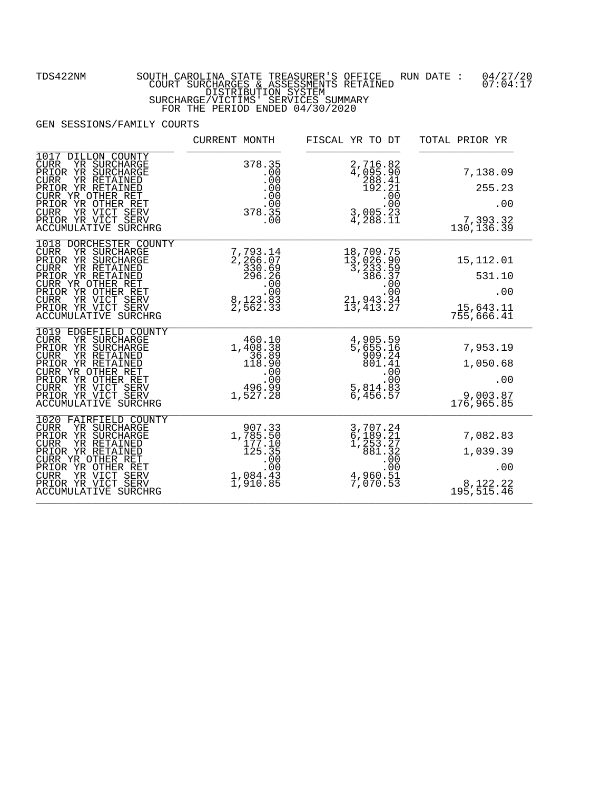FOR THE PERIOD ENDED 04/30/2020

|                                                                                                                                                                                                                                                              | CURRENT MONTH                                                                         | FISCAL YR TO DT                                                                                                                                         | TOTAL PRIOR YR                                         |
|--------------------------------------------------------------------------------------------------------------------------------------------------------------------------------------------------------------------------------------------------------------|---------------------------------------------------------------------------------------|---------------------------------------------------------------------------------------------------------------------------------------------------------|--------------------------------------------------------|
| 1017 DILLON COUNTY<br>YR SURCHARGE<br><b>CURR</b><br>PRIOR YR SURCHARGE<br><b>CURR</b><br>YR RETAINED<br>PRIOR YR RETAINED<br>CURR YR OTHER RET<br>PRIOR YR OTHER RET<br>CURR YR VICT SERV<br>PRIOR YR VICT SERV<br>ACCUMULATIVE SURCHRG                     | 378.35                                                                                | 2,716.82<br>4,095.90<br>288.41<br>192.21<br>$3,005.23$<br>4,288.11                                                                                      | 7,138.09<br>255.23<br>.00<br>7,393.32<br>130, 136.39   |
| 1018 DORCHESTER COUNTY<br>${\tt CURR}$<br>YR SURCHARGE<br>PRIOR YR SURCHARGE<br>YR RETAINED<br><b>CURR</b><br>PRIOR YR RETAINED<br>CURR YR OTHER RET<br>PRIOR YR OTHER RET<br>YR VICT SERV<br><b>CURR</b><br>PRIOR YR VICT SERV<br>ACCUMULATIVE SURCHRG      | $7,793.14$<br>$2,266.07$<br>$330.69$<br>$296.26$<br>$00$<br>$8,123.83$<br>$2,562.33$  | $\begin{array}{c} 18\,, 709\,, 75 \\ 13\,, 026\,, 90 \\ 3\,, 233\,, 59 \\ 386\,, 37 \\ \phantom{1}00 \\ 21\,, 943\,, 34 \\ 13\,, 413\,, 27 \end{array}$ | 15, 112.01<br>531.10<br>.00<br>15,643.11<br>755,666.41 |
| 1019 EDGEFIELD COUNTY<br>YR SURCHARGE<br><b>CURR</b><br>PRIOR YR SURCHARGE<br>YR RETAINED<br><b>CURR</b><br>PRIOR YR RETAINED<br>CURR YR OTHER RET<br>PRIOR YR OTHER RET<br><b>CURR</b><br>YR VICT SERV<br>PRIOR YR VICT SERV<br>ACCUMULATIVE SURCHRG        | 460.10<br>$1,408.18$<br>$36.89$<br>$118.90$<br>$00$<br>$00$<br>$00$<br>$1,527.28$     | 4,905.59<br>5,655.16<br>909.24<br>801.41<br>$5,814.83$<br>6,456.57                                                                                      | 7,953.19<br>1,050.68<br>.00<br>9,003.87<br>176,965.85  |
| 1020 FAIRFIELD COUNTY<br>YR SURCHARGE<br><b>CURR</b><br>PRIOR YR SURCHARGE<br>YR RETAINED<br><b>CURR</b><br>PRIOR YR RETAINED<br>CURR YR OTHER RET<br>PRIOR YR OTHER RET<br>YR VICT SERV<br><b>CURR</b><br>PRIOR YR VICT SERV<br><b>ACCUMULATIVE SURCHRG</b> | 907.33<br>1,785.50<br>$\frac{177.10}{125.35}$<br>$1.00$<br>00<br>1,084.43<br>1,910.85 | 3,707.24<br>6,189.21<br>1,253.27<br>1,253.27<br>881.32<br>.000<br>4,960.51<br>7,070.53                                                                  | 7,082.83<br>1,039.39<br>.00<br>8,122.22<br>195,515.46  |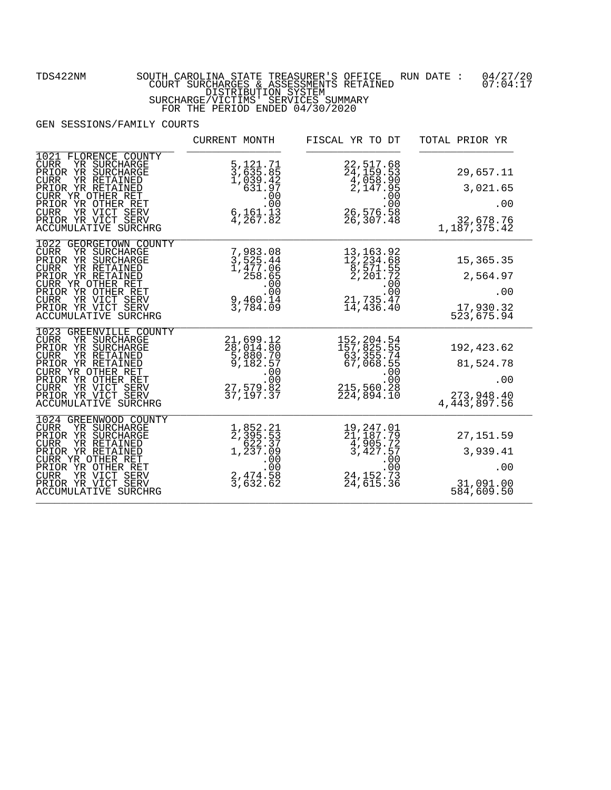## FOR THE PERIOD ENDED 04/30/2020

|                                                                                                                                                                                                                                                              | CURRENT MONTH                                                                                                              | FISCAL YR TO DT                                                                                                                        | TOTAL PRIOR YR                                                  |
|--------------------------------------------------------------------------------------------------------------------------------------------------------------------------------------------------------------------------------------------------------------|----------------------------------------------------------------------------------------------------------------------------|----------------------------------------------------------------------------------------------------------------------------------------|-----------------------------------------------------------------|
| 1021 FLORENCE COUNTY<br>YR SURCHARGE<br><b>CURR</b><br>PRIOR YR SURCHARGE<br><b>CURR</b><br>YR RETAINED<br>PRIOR YR RETAINED<br>CURR YR OTHER RET<br>PRIOR YR OTHER RET<br>CURR YR VICT SERV<br>PRIOR YR VICT SERV<br>ACCUMULATIVE SURCHRG                   | 5, 121.71<br>3, 635.85<br>1, 039.42<br>631.97<br>$.00$<br>.00<br>$\frac{6}{4}$ , 161.13<br>4, 267.82                       | 22, 517.68<br>24, 159.53<br>4, 058.90<br>2, 147.95<br>00<br>26, 575.99<br>26, 576. 58<br>26, 307. 48                                   | 29,657.11<br>3,021.65<br>.00<br>32,678.76<br>1,187,375.42       |
| 1022 GEORGETOWN COUNTY<br>YR SURCHARGE<br><b>CURR</b><br>PRIOR YR SURCHARGE<br><b>CURR</b><br>YR RETAINED<br>PRIOR YR RETAINED<br>CURR YR OTHER RET<br>PRIOR YR OTHER RET<br><b>CURR</b><br>YR VICT SERV<br>PRIOR YR VICT SERV<br>ACCUMULATIVE SURCHRG       | 7,983.08<br>3,525.44<br>1,477.06<br>258.65<br>$\begin{array}{r} 253.00 \\ .00 \\ .00 \\ .9,460.14 \\ 3,784.09 \end{array}$ | 13, 163.92<br>12, 234.68<br>8, 571.55<br>2, 201.72<br>$\begin{array}{r} 00 \\ -31 \\ -21 \\ -21 \\ -23 \\ -1 \end{array}$<br>14,436.40 | 15, 365. 35<br>2,564.97<br>.00<br>17,930.32<br>523,675.94       |
| 1023 GREENVILLE COUNTY<br>YR SURCHARGE<br><b>CURR</b><br>PRIOR YR SURCHARGE<br>YR RETAINED<br><b>CURR</b><br>PRIOR YR RETAINED<br>CURR YR OTHER RET<br>PRIOR YR OTHER RET<br><b>CURR</b><br>YR VICT SERV<br>PRIOR YR VICT SERV<br>ACCUMULATIVE SURCHRG       | 21,699.12<br>28,014.80<br>5,880.70<br>9,182.57<br>.00<br>00 :<br>82 . 27 , 579 .<br>37 , 197 . 37                          | 152, 204.54<br>157, 825.55<br>63, 355.74<br>67, 068.55<br>.00.00<br>215,560.28<br>224,894.10                                           | 192,423.62<br>81,524.78<br>.00<br>273, 948.40<br>4, 443, 897.56 |
| 1024 GREENWOOD COUNTY<br>YR SURCHARGE<br><b>CURR</b><br>PRIOR YR SURCHARGE<br><b>CURR</b><br>YR RETAINED<br>PRIOR YR RETAINED<br>CURR YR OTHER RET<br>PRIOR YR OTHER RET<br>YR VICT SERV<br><b>CURR</b><br>PRIOR YR VICT SERV<br><b>ACCUMULATIVE SURCHRG</b> | 1,852.21<br>2,395.53<br>$622.37$<br>1,237.09<br>$2,474.58$<br>3,632.62                                                     | 19, 247.01<br>21, 187.79<br>$\frac{4}{3}, \frac{905}{427}.57$<br>$.00$<br>.00<br>24,152.73<br>24,615.36                                | 27, 151.59<br>3,939.41<br>.00<br>31,091.00<br>584,609.50        |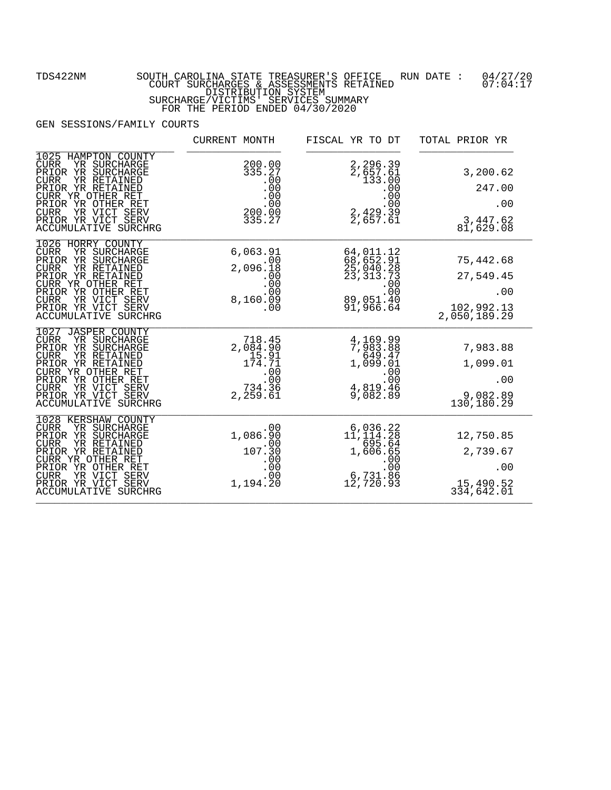FOR THE PERIOD ENDED 04/30/2020

|                                                                                                                                                                                                                                                            | CURRENT MONTH                                                                                          | FISCAL YR TO DT                                                                                                                                                                                                                                                                                                                                                                                           | TOTAL PRIOR YR                                              |
|------------------------------------------------------------------------------------------------------------------------------------------------------------------------------------------------------------------------------------------------------------|--------------------------------------------------------------------------------------------------------|-----------------------------------------------------------------------------------------------------------------------------------------------------------------------------------------------------------------------------------------------------------------------------------------------------------------------------------------------------------------------------------------------------------|-------------------------------------------------------------|
| 1025 HAMPTON COUNTY<br>YR SURCHARGE<br><b>CURR</b><br>PRIOR YR SURCHARGE<br><b>CURR</b><br>YR RETAINED<br>PRIOR YR RETAINED<br>CURR YR OTHER RET<br>PRIOR YR OTHER RET<br>YR VICT SERV<br><b>CURR</b><br>PRIOR YR VICT SERV<br><b>ACCUMULATIVE SURCHRG</b> | 200.00<br>335.27<br>$\begin{array}{c} .00 \\ .00 \\ .00 \\ .00 \\ .00 \end{array}$<br>200.ŎŎ<br>335.27 | 2,296.39<br>2,657.61<br>133.00<br>$.000$<br>.00<br>.00<br>.00<br>.00<br>.00<br>.00<br>2,657.61                                                                                                                                                                                                                                                                                                            | 3,200.62<br>247.00<br>.00<br>3,447.62<br>81,629.08          |
| 1026 HORRY COUNTY<br><b>CURR</b><br>YR SURCHARGE<br>PRIOR YR SURCHARGE<br><b>CURR</b><br>YR RETAINED<br>PRIOR YR RETAINED<br>CURR YR OTHER RET<br>PRIOR YR OTHER RET<br>YR VICT SERV<br><b>CURR</b><br>PRIOR YR VICT SERV<br>ACCUMULATIVE SURCHRG          | 6,063.91<br>.00<br>2,096.18<br>$\frac{00}{00}$<br>8,160.09<br>.00                                      | 64,011.12<br>68,652.91<br>25,040.28<br>23,313.73<br>00<br>00.<br>09,051.40<br>91,966.64                                                                                                                                                                                                                                                                                                                   | 75,442.68<br>27,549.45<br>.00<br>102,992.13<br>2,050,189.29 |
| 1027 JASPER COUNTY<br><b>CURR</b><br>YR SURCHARGE<br>PRIOR YR SURCHARGE<br>YR RETAINED<br><b>CURR</b><br>PRIOR YR RETAINED<br>CURR YR OTHER RET<br>PRIOR YR OTHER RET<br><b>CURR</b><br>YR VICT SERV<br>PRIOR YR VICT SERV<br>ACCUMULATIVE SURCHRG         | 718.45<br>2,084.90<br>15.91<br>174.71<br>.00<br>,00:<br>734.36<br>2,259.61                             | 4,169.99<br>7,983.88<br>649.47<br>1,099.01<br>.00<br>4,819.46<br>9,082.89                                                                                                                                                                                                                                                                                                                                 | 7,983.88<br>1,099.01<br>.00<br>9,082.89<br>130,180.29       |
| 1028<br>KERSHAW COUNTY<br><b>CURR</b><br>YR SURCHARGE<br>PRIOR YR SURCHARGE<br>YR RETAINED<br><b>CURR</b><br>PRIOR YR RETAINED<br>CURR YR OTHER RET<br>PRIOR YR OTHER RET<br>YR VICT SERV<br><b>CURR</b><br>PRIOR YR VICT SERV<br>ACCUMULATIVE SURCHRG     | .00<br>1,086.90<br>107:30<br>$\frac{00}{00}$<br>00.<br>1,194.20                                        | $6,036.22$<br>11,114.28<br>$\frac{695.64}{1,606.65}$<br>$\begin{matrix} 0 & 0 & 0 \\ 0 & 0 & 0 \\ 0 & 0 & 0 \\ 0 & 0 & 0 \\ 0 & 0 & 0 \\ 0 & 0 & 0 \\ 0 & 0 & 0 \\ 0 & 0 & 0 \\ 0 & 0 & 0 \\ 0 & 0 & 0 \\ 0 & 0 & 0 \\ 0 & 0 & 0 \\ 0 & 0 & 0 \\ 0 & 0 & 0 \\ 0 & 0 & 0 \\ 0 & 0 & 0 \\ 0 & 0 & 0 \\ 0 & 0 & 0 & 0 \\ 0 & 0 & 0 & 0 \\ 0 & 0 & 0 & 0 \\ 0 & 0 & 0 & 0 \\ 0 & 0 & 0 & 0 \\ 0$<br>12,720.93 | 12,750.85<br>2,739.67<br>.00<br>15,490.52<br>334,642.01     |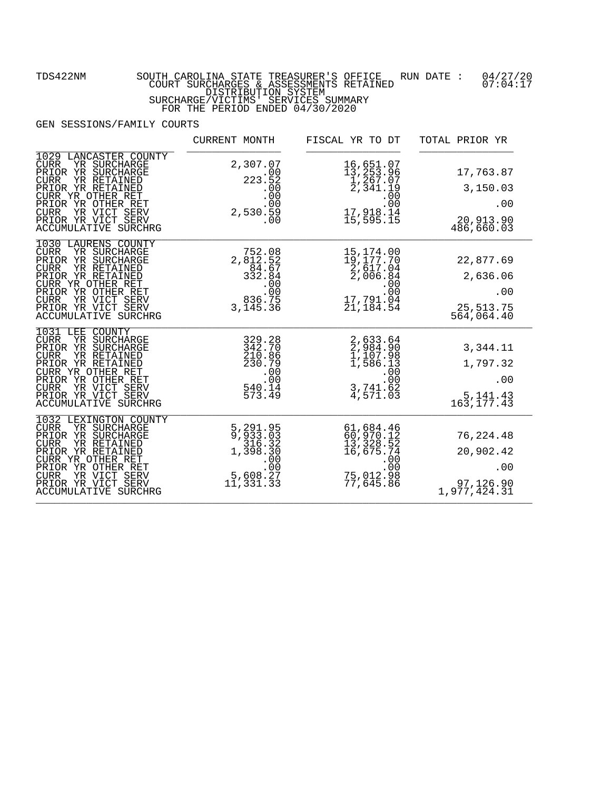FOR THE PERIOD ENDED 04/30/2020

|                                                                                                                                                                                                                                                              | CURRENT MONTH                                                                                                       | FISCAL YR TO DT                                                                                                                        | TOTAL PRIOR YR                                              |
|--------------------------------------------------------------------------------------------------------------------------------------------------------------------------------------------------------------------------------------------------------------|---------------------------------------------------------------------------------------------------------------------|----------------------------------------------------------------------------------------------------------------------------------------|-------------------------------------------------------------|
| 1029 LANCASTER COUNTY<br><b>CURR</b><br>YR SURCHARGE<br>PRIOR YR SURCHARGE<br><b>CURR</b><br>YR RETAINED<br>PRIOR YR RETAINED<br>CURR YR OTHER RET<br>PRIOR YR OTHER RET<br>CURR YR VICT SERV<br>PRIOR YR VICT SERV<br>ACCUMULATIVE SURCHRG                  | 2,307.07<br>223.52<br>00.00<br>.00<br>2,530.59<br>.00                                                               | 16,651.07<br>13,253.96<br>$\frac{1}{2}$ , 267.07<br>2, 341.19<br>00.5<br>17,918.14<br>15,595.15                                        | 17,763.87<br>3,150.03<br>.00<br>20,913.90<br>486,660.03     |
| 1030 LAURENS COUNTY<br><b>CURR</b><br>YR SURCHARGE<br>PRIOR YR SURCHARGE<br><b>CURR</b><br>YR RETAINED<br>PRIOR YR RETAINED<br>CURR YR OTHER RET<br>PRIOR YR OTHER RET<br><b>CURR</b><br>YR VICT SERV<br>PRIOR YR VICT SERV<br><b>ACCUMULATIVE SURCHRG</b>   | 752.08<br>2,812.52<br>84.67<br>332.84<br>--- 00<br>00.<br>236.75<br>3, 145. 36                                      | 15,174.00<br>$\begin{array}{c} 19 \\ 2 \\ 617 \\ 04 \\ 2 \\ 006 \\ \frac{94}{9} \end{array}$<br>$.00$<br>.00<br>17,791.04<br>21,184.54 | 22,877.69<br>2,636.06<br>.00<br>25,513.75<br>564,064.40     |
| 1031 LEE<br><b>COUNTY</b><br><b>CURR</b><br>YR SURCHARGE<br>PRIOR YR SURCHARGE<br>YR RETAINED<br><b>CURR</b><br>PRIOR YR RETAINED<br>CURR YR OTHER RET<br>PRIOR YR OTHER RET<br>$C \text{URR}$<br>YR VICT SERV<br>PRIOR YR VICT SERV<br>ACCUMULATIVE SURCHRG | 329.28<br>342.70<br>210.86<br>230.79<br>.00<br>540.00<br>573.49                                                     | 2,633.64<br>2,984.90<br>1,107.98<br>1,586.13<br>$\begin{array}{r} .00 \\ .00 \\ .00 \\ .741.62 \end{array}$<br>4,571.03                | 3,344.11<br>1,797.32<br>.00<br>5, 141. 43<br>163, 177.43    |
| 1032<br>LEXINGTON COUNTY<br><b>CURR</b><br>YR SURCHARGE<br>PRIOR YR SURCHARGE<br><b>CURR</b><br>YR RETAINED<br>PRIOR YR RETAINED<br>CURR YR OTHER RET<br>PRIOR YR OTHER RET<br>YR VICT SERV<br><b>CURR</b><br>PRIOR YR VICT SERV<br>ACCUMULATIVE SURCHRG     | 5, 291.95<br>9, 933.03<br>$\begin{array}{c} 316.32 \\ 1,398.30 \end{array}$<br>5,608.27<br>$1\overline{1}$ , 331.33 | 61,684.46<br>60,970.12<br>$13, 328.52$<br>16,675.74<br>$.00$<br>.00<br>75,012.98<br>77,645.86                                          | 76, 224.48<br>20,902.42<br>.00<br>97,126.90<br>1,977,424.31 |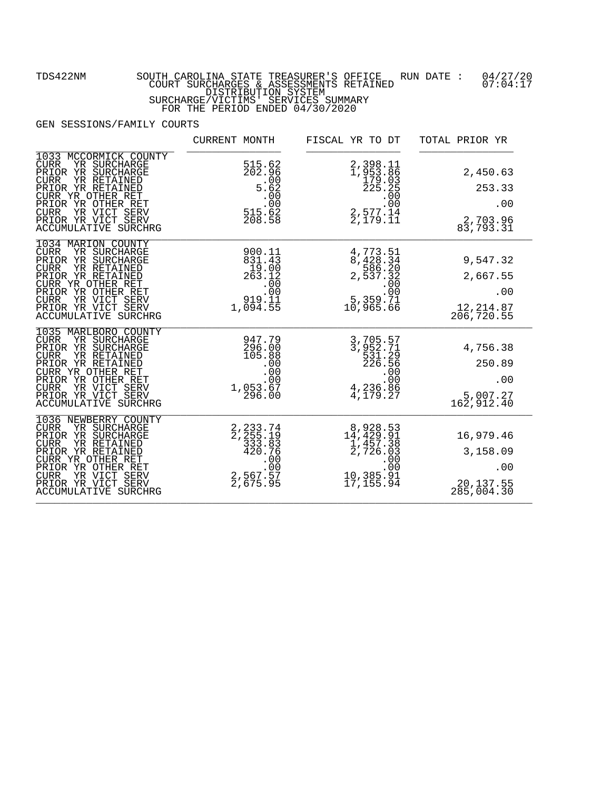FOR THE PERIOD ENDED 04/30/2020

|                                                                                                                                                                                                                                                             | CURRENT MONTH                                                                                                 | FISCAL YR TO DT                                                                                                                                                                                       | TOTAL PRIOR YR                                           |
|-------------------------------------------------------------------------------------------------------------------------------------------------------------------------------------------------------------------------------------------------------------|---------------------------------------------------------------------------------------------------------------|-------------------------------------------------------------------------------------------------------------------------------------------------------------------------------------------------------|----------------------------------------------------------|
| 1033 MCCORMICK COUNTY<br>YR SURCHARGE<br>CURR<br>PRIOR YR SURCHARGE<br><b>CURR</b><br>YR RETAINED<br>PRIOR YR RETAINED<br>CURR YR OTHER RET<br>PRIOR YR OTHER RET<br>CURR YR VICT SERV<br>PRIOR YR VICT SERV<br>ACCUMULATIVE SURCHRG                        | 515.62<br>202.96<br>$\begin{array}{r} 202.300 \\ -0.00 \\ 5.62 \\ -0.00 \\ 515.62 \\ 208.58 \end{array}$      | 2,398.11<br>1,953.86<br>$\frac{1}{2}$ , $\frac{1}{2}$ , $\frac{1}{2}$ , $\frac{1}{2}$ , $\frac{1}{2}$ , $\frac{1}{2}$ , $\frac{1}{2}$ , $\frac{1}{2}$ , $\frac{1}{1}$ , $\frac{1}{2}$ , $\frac{1}{1}$ | 2,450.63<br>253.33<br>.00<br>2,703.96<br>83,793.31       |
| 1034 MARION COUNTY<br>YR SURCHARGE<br>CURR<br>PRIOR YR SURCHARGE<br>YR RETAINED<br><b>CURR</b><br>PRIOR YR RETAINED<br>CURR YR OTHER RET<br>PRIOR YR OTHER RET<br>$\mathtt{CURR}$<br>YR VICT SERV<br>PRIOR YR VICT SERV<br>ACCUMULATIVE SURCHRG             | 900.11<br>$\begin{array}{r} 831.43 \\ 19.00 \\ 263.12 \end{array}$<br>$\frac{00}{00}$ .<br>919.11<br>1,094.55 | $\begin{smallmatrix} 4\,,773\,.51\\ 8\,,428\,.34\\ 586\,.20\\ 2\,,537\,.32\\ 0\,00\\ 5\,,359\,.71\\ 10\,,965\,.66 \end{smallmatrix}$                                                                  | 9,547.32<br>2,667.55<br>.00<br>12, 214.87<br>206, 720.55 |
| 1035 MARLBORO COUNTY<br>CURR<br>YR SURCHARGE<br>PRIOR YR SURCHARGE<br>YR RETAINED<br>CURR<br>PRIOR YR RETAINED<br>CURR YR OTHER RET<br>PRIOR YR OTHER RET<br><b>CURR</b><br>YR VICT SERV<br>PRIOR YR VICT SERV<br>ACCUMULATIVE SURCHRG                      | $\begin{smallmatrix} 11 & 947.79 \ 296.000 \ 105.88 \ 0.00 \ 0.00 \ 0.00 \ 0.00 \ 0.296.00 \end{smallmatrix}$ | 3,705.57<br>3,952.71<br>531.29<br>226.56<br>$2.500$<br>00.<br>4,236.86<br>4,179.27                                                                                                                    | 4,756.38<br>250.89<br>.00<br>5,007.27<br>162,912.40      |
| 1036 NEWBERRY COUNTY<br><b>CURR</b><br>YR SURCHARGE<br>PRIOR YR SURCHARGE<br>YR RETAINED<br><b>CURR</b><br>PRIOR YR RETAINED<br>CURR YR OTHER RET<br>PRIOR YR OTHER RET<br>YR VICT SERV<br><b>CURR</b><br>PRIOR YR VICT SERV<br><b>ACCUMULATIVE SURCHRG</b> | 2, 233.74<br>2, 255.19<br>$333.83$<br>420.76<br>$2,567.57$<br>00.<br>2,567.57<br>2,675.95                     | 8,928.53<br>14,429.91<br>$\frac{1}{2}$ , 457.38<br>2, 726.03<br>$10,385.91$<br>17,155.94                                                                                                              | 16,979.46<br>3,158.09<br>.00<br>20,137.55<br>285,004.30  |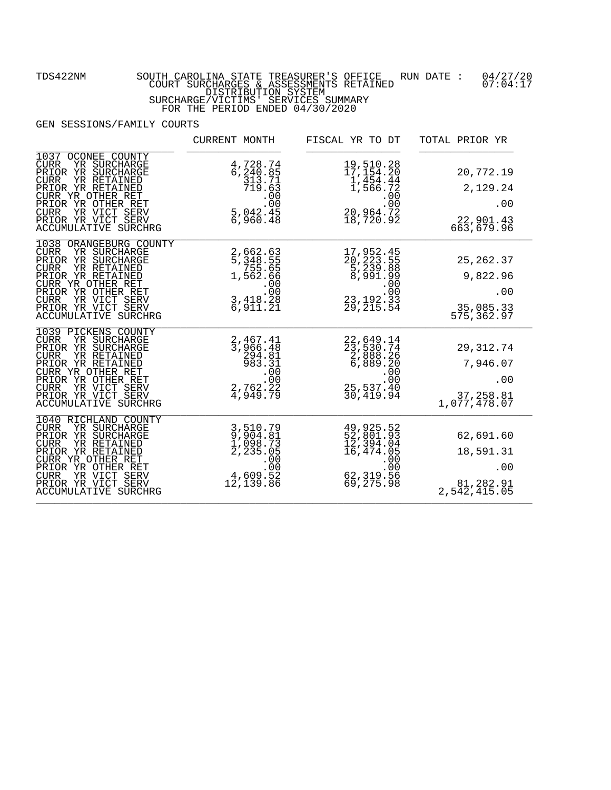|                                                                                                                                                                                                                                                             | CURRENT MONTH                                                                         | FISCAL YR TO DT                                                                                                                                                  | TOTAL PRIOR YR                                             |
|-------------------------------------------------------------------------------------------------------------------------------------------------------------------------------------------------------------------------------------------------------------|---------------------------------------------------------------------------------------|------------------------------------------------------------------------------------------------------------------------------------------------------------------|------------------------------------------------------------|
| 1037<br>OCONEE COUNTY<br>YR SURCHARGE<br><b>CURR</b><br>PRIOR YR SURCHARGE<br>YR RETAINED<br><b>CURR</b><br>PRIOR YR RETAINED<br>CURR YR OTHER RET<br>PRIOR YR OTHER RET<br>YR VICT SERV<br><b>CURR</b><br>PRIOR YR VICT SERV<br>ACCUMULATIVE SURCHRG       | 4,728.74<br>6,240.85<br>$\frac{313.71}{719.63}$<br>$00$<br>00<br>5,042.45<br>6,960.48 | 19,510.28<br>17,154.20<br>1,454.44<br>1,566.72<br>$\begin{array}{r} 00 \\ 00 \\ 20,964.72 \\ 100 \end{array}$<br>$\bar{18}, \bar{7}20.9\bar{2}$                  | 20,772.19<br>2,129.24<br>.00<br>22,901.43<br>663,679.96    |
| 1038 ORANGEBURG COUNTY<br><b>CURR</b><br>YR SURCHARGE<br>PRIOR YR SURCHARGE<br>YR RETAINED<br><b>CURR</b><br>PRIOR YR RETAINED<br>CURR YR OTHER RET<br>PRIOR YR OTHER RET<br><b>CURR</b><br>YR VICT SERV<br>PRIOR YR VICT SERV<br>ACCUMULATIVE SURCHRG      | 2,662.63<br>5,348.55<br>755.65<br>755.66<br>1,562.66<br>.00<br>3,418.29<br>6,911.21   | $\begin{array}{c} 17\,, 952\cdot 45\\ 20\,, 223\cdot 55\\ 5\,, 239\cdot 88\\ 8\,, 991\cdot 99\\ \cdot\, 000\\ 23\,, 192\cdot 33\\ 29\,, 215\cdot 54 \end{array}$ | 25, 262.37<br>9,822.96<br>.00<br>35,085.33<br>575,362.97   |
| 1039 PICKENS COUNTY<br>CURR<br>YR SURCHARGE<br>PRIOR YR SURCHARGE<br><b>CURR</b><br>YR RETAINED<br>PRIOR YR RETAINED<br>CURR YR OTHER RET<br>PRIOR YR OTHER RET<br>YR VICT SERV<br>$C \text{URR}$<br>PRIOR YR VICT SERV<br><b>ACCUMULATIVE SURCHRG</b>      | 2,467.41<br>3,966.48<br>294.81<br>983.31<br>$983.31.00.002,762.224,949.79$            | 22,649.14<br>23,530.74<br>2,888.26<br>6,889.20<br>$\begin{array}{r} 00 \\ 00 \\ 25,537.40 \end{array}$<br>30,419.94                                              | 29,312.74<br>7,946.07<br>.00<br>37,258.81<br>1,077,478.07  |
| 1040 RICHLAND COUNTY<br>YR SURCHARGE<br><b>CURR</b><br>PRIOR YR SURCHARGE<br><b>CURR</b><br>YR RETAINED<br>PRIOR YR RETAINED<br>CURR YR OTHER RET<br>PRIOR YR OTHER RET<br>YR VICT SERV<br><b>CURR</b><br>PRIOR YR VICT SERV<br><b>ACCUMULATIVE SURCHRG</b> | 3,510.79<br>9,904.81<br>1,098.73<br>2,235.05<br>00.00<br>4,609.52<br>12,139.86        | 49,925.52<br>52,801.93<br>12,394.04<br>16,474.05<br>$500$<br>00.00<br>62, 319.56<br>69, 275.98                                                                   | 62,691.60<br>18,591.31<br>.00<br>81,282.91<br>2,542,415.05 |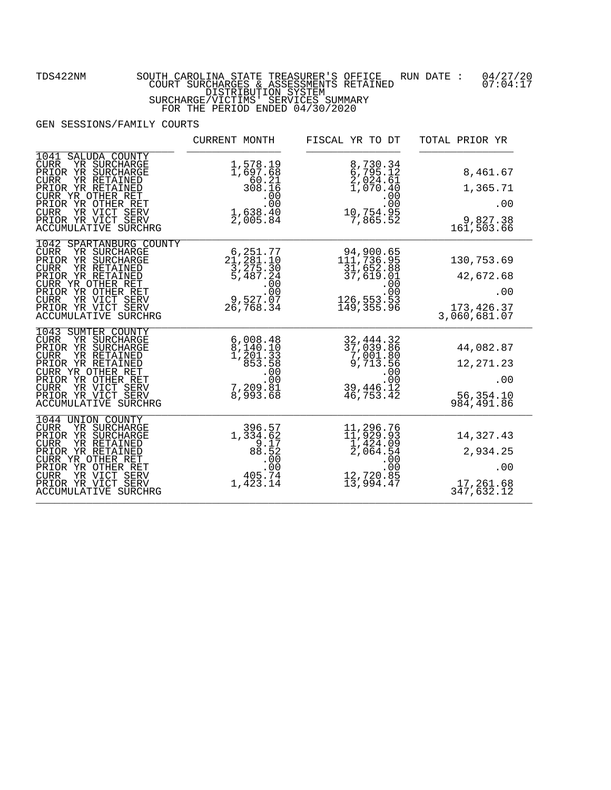|                                                                                                                                                                                                                                                                | CURRENT MONTH                                                                                                    | FISCAL YR TO DT                                                                               | TOTAL PRIOR YR                                               |
|----------------------------------------------------------------------------------------------------------------------------------------------------------------------------------------------------------------------------------------------------------------|------------------------------------------------------------------------------------------------------------------|-----------------------------------------------------------------------------------------------|--------------------------------------------------------------|
| 1041<br>SALUDA COUNTY<br>YR SURCHARGE<br><b>CURR</b><br>PRIOR YR SURCHARGE<br>YR RETAINED<br><b>CURR</b><br>PRIOR YR RETAINED<br>CURR YR OTHER RET<br>PRIOR YR OTHER RET<br>YR VICT SERV<br><b>CURR</b><br>PRIOR YR VICT SERV<br>ACCUMULATIVE SURCHRG          | 1,578.19<br>1,697.68<br>$60.21$<br>308.16<br>$1,638.40$<br>2,005.84                                              | 8,730.34<br>6,795.12<br>2,024.61<br>1,070.40<br>$10,754.95$<br>00.00<br>10,754.95<br>7,865.52 | 8,461.67<br>1,365.71<br>.00<br>9,827.38<br>161,503.66        |
| 1042 SPARTANBURG COUNTY<br>YR SURCHARGE<br><b>CURR</b><br>PRIOR YR SURCHARGE<br><b>CURR</b><br>YR RETAINED<br>PRIOR YR RETAINED<br>CURR YR OTHER RET<br>PRIOR YR OTHER RET<br><b>CURR</b><br>YR VICT SERV<br>PRIOR YR VICT SERV<br><b>ACCUMULATIVE SURCHRG</b> | 6, 251.77<br>21, 281.10<br>3, 275.30<br>5, 487.24<br>$\frac{5}{00}$<br>9,527.07<br>26,768.34                     | 94,900.65<br>111,736.95<br>31,652.88<br>37,619.01<br>149,355.96                               | 130,753.69<br>42,672.68<br>.00<br>173,426.37<br>3,060,681.07 |
| 1043<br>SUMTER COUNTY<br>CURR<br>YR SURCHARGE<br>PRIOR YR SURCHARGE<br>YR RETAINED<br><b>CURR</b><br>PRIOR YR RETAINED<br>CURR YR OTHER RET<br>PRIOR YR OTHER RET<br><b>CURR</b><br>YR VICT SERV<br>PRIOR YR VICT SERV<br><b>ACCUMULATIVE SURCHRG</b>          | 6,008.48<br>$\begin{array}{c} 8,140.10 \\ 1,201.33 \\ 853.58 \end{array}$<br>$7, 209.81$<br>8,993.68<br>8,993.68 | 32, 444.32<br>37,039.86<br>7,001.80<br>9,713.56<br>.00<br>$00$ :<br>39,446.12<br>46,753.42    | 44,082.87<br>12, 271.23<br>.00<br>56,354.10<br>984,491.86    |
| 1044 UNION COUNTY<br>YR SURCHARGE<br><b>CURR</b><br>PRIOR YR SURCHARGE<br><b>CURR</b><br>YR RETAINED<br>PRIOR YR RETAINED<br>CURR YR OTHER RET<br>PRIOR YR OTHER RET<br>YR VICT SERV<br><b>CURR</b><br>PRIOR YR VICT SERV<br><b>ACCUMULATIVE SURCHRG</b>       | 396.57<br>1,334.62<br>$\begin{array}{r} 3.17 \\ 9.17 \\ 88.52 \\ .00 \\ .00 \\ 405.74 \end{array}$<br>1,423.14   | 11,296.76<br>11,929.93<br>1,424.09<br>2,064.54<br>$.00$<br>.00<br>12,720.85<br>13,994.47      | 14,327.43<br>2,934.25<br>.00<br>17,261.68<br>347,632.12      |